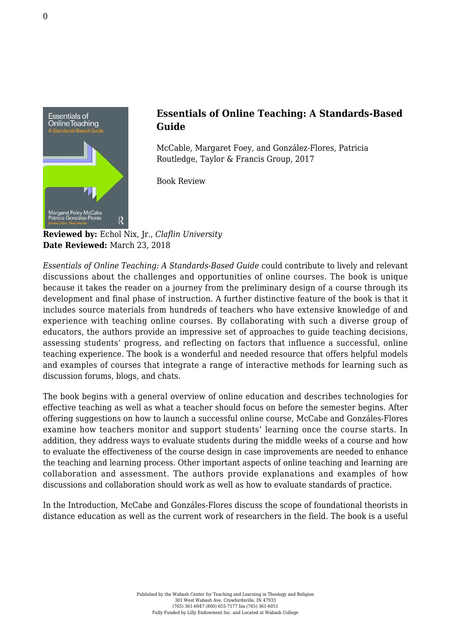

## **Essentials of Online Teaching: A Standards-Based Guide**

McCable, Margaret Foey, and González-Flores, Patricia [Routledge, Taylor & Francis Group, 2017](https://www.routledge.com/Essentials-of-Online-Teaching-A-Standards-Based-Guide/McCabe-Gonzalez-Flores/p/book/9781138920545)

Book Review

**Reviewed by:** Echol Nix, Jr., *Claflin University* **Date Reviewed:** March 23, 2018

*Essentials of Online Teaching: A Standards-Based Guide* could contribute to lively and relevant discussions about the challenges and opportunities of online courses. The book is unique because it takes the reader on a journey from the preliminary design of a course through its development and final phase of instruction. A further distinctive feature of the book is that it includes source materials from hundreds of teachers who have extensive knowledge of and experience with teaching online courses. By collaborating with such a diverse group of educators, the authors provide an impressive set of approaches to guide teaching decisions, assessing students' progress, and reflecting on factors that influence a successful, online teaching experience. The book is a wonderful and needed resource that offers helpful models and examples of courses that integrate a range of interactive methods for learning such as discussion forums, blogs, and chats.

The book begins with a general overview of online education and describes technologies for effective teaching as well as what a teacher should focus on before the semester begins. After offering suggestions on how to launch a successful online course, McCabe and Gonzáles-Flores examine how teachers monitor and support students' learning once the course starts. In addition, they address ways to evaluate students during the middle weeks of a course and how to evaluate the effectiveness of the course design in case improvements are needed to enhance the teaching and learning process. Other important aspects of online teaching and learning are collaboration and assessment. The authors provide explanations and examples of how discussions and collaboration should work as well as how to evaluate standards of practice.

In the Introduction, McCabe and Gonzáles-Flores discuss the scope of foundational theorists in distance education as well as the current work of researchers in the field. The book is a useful